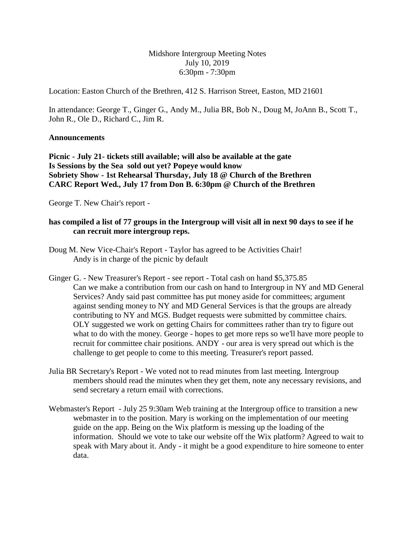Midshore Intergroup Meeting Notes July 10, 2019 6:30pm - 7:30pm

Location: Easton Church of the Brethren, 412 S. Harrison Street, Easton, MD 21601

In attendance: George T., Ginger G., Andy M., Julia BR, Bob N., Doug M, JoAnn B., Scott T., John R., Ole D., Richard C., Jim R.

## **Announcements**

**Picnic - July 21- tickets still available; will also be available at the gate Is Sessions by the Sea sold out yet? Popeye would know Sobriety Show - 1st Rehearsal Thursday, July 18 @ Church of the Brethren CARC Report Wed., July 17 from Don B. 6:30pm @ Church of the Brethren**

George T. New Chair's report -

## **has compiled a list of 77 groups in the Intergroup will visit all in next 90 days to see if he can recruit more intergroup reps.**

- Doug M. New Vice-Chair's Report Taylor has agreed to be Activities Chair! Andy is in charge of the picnic by default
- Ginger G. New Treasurer's Report see report Total cash on hand \$5,375.85 Can we make a contribution from our cash on hand to Intergroup in NY and MD General Services? Andy said past committee has put money aside for committees; argument against sending money to NY and MD General Services is that the groups are already contributing to NY and MGS. Budget requests were submitted by committee chairs. OLY suggested we work on getting Chairs for committees rather than try to figure out what to do with the money. George - hopes to get more reps so we'll have more people to recruit for committee chair positions. ANDY - our area is very spread out which is the challenge to get people to come to this meeting. Treasurer's report passed.
- Julia BR Secretary's Report We voted not to read minutes from last meeting. Intergroup members should read the minutes when they get them, note any necessary revisions, and send secretary a return email with corrections.
- Webmaster's Report July 25 9:30am Web training at the Intergroup office to transition a new webmaster in to the position. Mary is working on the implementation of our meeting guide on the app. Being on the Wix platform is messing up the loading of the information. Should we vote to take our website off the Wix platform? Agreed to wait to speak with Mary about it. Andy - it might be a good expenditure to hire someone to enter data.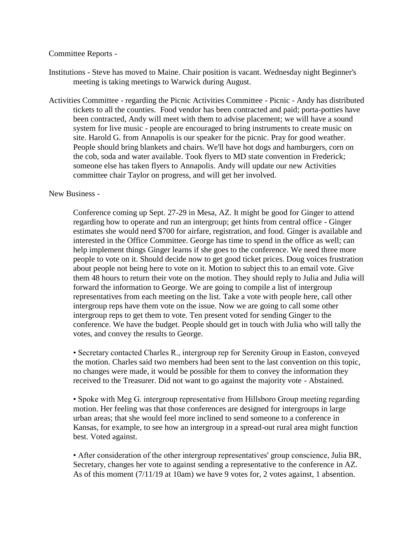## Committee Reports -

Institutions - Steve has moved to Maine. Chair position is vacant. Wednesday night Beginner's meeting is taking meetings to Warwick during August.

Activities Committee - regarding the Picnic Activities Committee - Picnic - Andy has distributed tickets to all the counties. Food vendor has been contracted and paid; porta-potties have been contracted, Andy will meet with them to advise placement; we will have a sound system for live music - people are encouraged to bring instruments to create music on site. Harold G. from Annapolis is our speaker for the picnic. Pray for good weather. People should bring blankets and chairs. We'll have hot dogs and hamburgers, corn on the cob, soda and water available. Took flyers to MD state convention in Frederick; someone else has taken flyers to Annapolis. Andy will update our new Activities committee chair Taylor on progress, and will get her involved.

## New Business -

Conference coming up Sept. 27-29 in Mesa, AZ. It might be good for Ginger to attend regarding how to operate and run an intergroup; get hints from central office - Ginger estimates she would need \$700 for airfare, registration, and food. Ginger is available and interested in the Office Committee. George has time to spend in the office as well; can help implement things Ginger learns if she goes to the conference. We need three more people to vote on it. Should decide now to get good ticket prices. Doug voices frustration about people not being here to vote on it. Motion to subject this to an email vote. Give them 48 hours to return their vote on the motion. They should reply to Julia and Julia will forward the information to George. We are going to compile a list of intergroup representatives from each meeting on the list. Take a vote with people here, call other intergroup reps have them vote on the issue. Now we are going to call some other intergroup reps to get them to vote. Ten present voted for sending Ginger to the conference. We have the budget. People should get in touch with Julia who will tally the votes, and convey the results to George.

• Secretary contacted Charles R., intergroup rep for Serenity Group in Easton, conveyed the motion. Charles said two members had been sent to the last convention on this topic, no changes were made, it would be possible for them to convey the information they received to the Treasurer. Did not want to go against the majority vote - Abstained.

• Spoke with Meg G. intergroup representative from Hillsboro Group meeting regarding motion. Her feeling was that those conferences are designed for intergroups in large urban areas; that she would feel more inclined to send someone to a conference in Kansas, for example, to see how an intergroup in a spread-out rural area might function best. Voted against.

• After consideration of the other intergroup representatives' group conscience, Julia BR, Secretary, changes her vote to against sending a representative to the conference in AZ. As of this moment (7/11/19 at 10am) we have 9 votes for, 2 votes against, 1 absention.